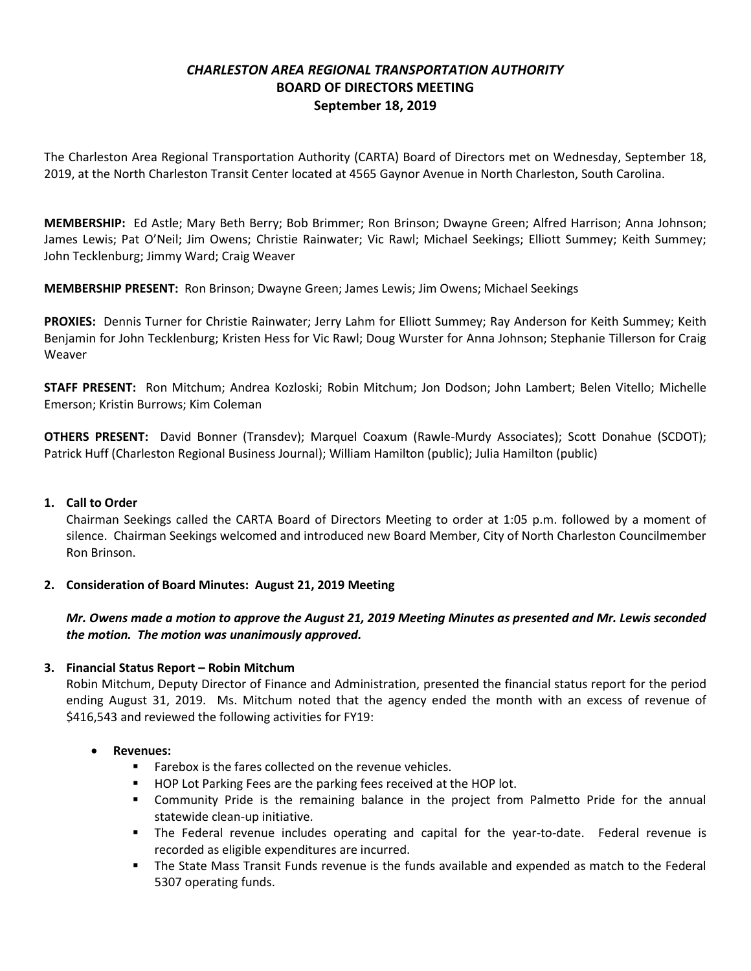# *CHARLESTON AREA REGIONAL TRANSPORTATION AUTHORITY* **BOARD OF DIRECTORS MEETING September 18, 2019**

The Charleston Area Regional Transportation Authority (CARTA) Board of Directors met on Wednesday, September 18, 2019, at the North Charleston Transit Center located at 4565 Gaynor Avenue in North Charleston, South Carolina.

**MEMBERSHIP:** Ed Astle; Mary Beth Berry; Bob Brimmer; Ron Brinson; Dwayne Green; Alfred Harrison; Anna Johnson; James Lewis; Pat O'Neil; Jim Owens; Christie Rainwater; Vic Rawl; Michael Seekings; Elliott Summey; Keith Summey; John Tecklenburg; Jimmy Ward; Craig Weaver

**MEMBERSHIP PRESENT:** Ron Brinson; Dwayne Green; James Lewis; Jim Owens; Michael Seekings

**PROXIES:** Dennis Turner for Christie Rainwater; Jerry Lahm for Elliott Summey; Ray Anderson for Keith Summey; Keith Benjamin for John Tecklenburg; Kristen Hess for Vic Rawl; Doug Wurster for Anna Johnson; Stephanie Tillerson for Craig Weaver

**STAFF PRESENT:** Ron Mitchum; Andrea Kozloski; Robin Mitchum; Jon Dodson; John Lambert; Belen Vitello; Michelle Emerson; Kristin Burrows; Kim Coleman

**OTHERS PRESENT:** David Bonner (Transdev); Marquel Coaxum (Rawle-Murdy Associates); Scott Donahue (SCDOT); Patrick Huff (Charleston Regional Business Journal); William Hamilton (public); Julia Hamilton (public)

## **1. Call to Order**

Chairman Seekings called the CARTA Board of Directors Meeting to order at 1:05 p.m. followed by a moment of silence. Chairman Seekings welcomed and introduced new Board Member, City of North Charleston Councilmember Ron Brinson.

## **2. Consideration of Board Minutes: August 21, 2019 Meeting**

## *Mr. Owens made a motion to approve the August 21, 2019 Meeting Minutes as presented and Mr. Lewis seconded the motion. The motion was unanimously approved.*

## **3. Financial Status Report – Robin Mitchum**

Robin Mitchum, Deputy Director of Finance and Administration, presented the financial status report for the period ending August 31, 2019. Ms. Mitchum noted that the agency ended the month with an excess of revenue of \$416,543 and reviewed the following activities for FY19:

#### **Revenues:**

- Farebox is the fares collected on the revenue vehicles.
- **HOP Lot Parking Fees are the parking fees received at the HOP lot.**
- Community Pride is the remaining balance in the project from Palmetto Pride for the annual statewide clean-up initiative.
- The Federal revenue includes operating and capital for the year-to-date. Federal revenue is recorded as eligible expenditures are incurred.
- **The State Mass Transit Funds revenue is the funds available and expended as match to the Federal** 5307 operating funds.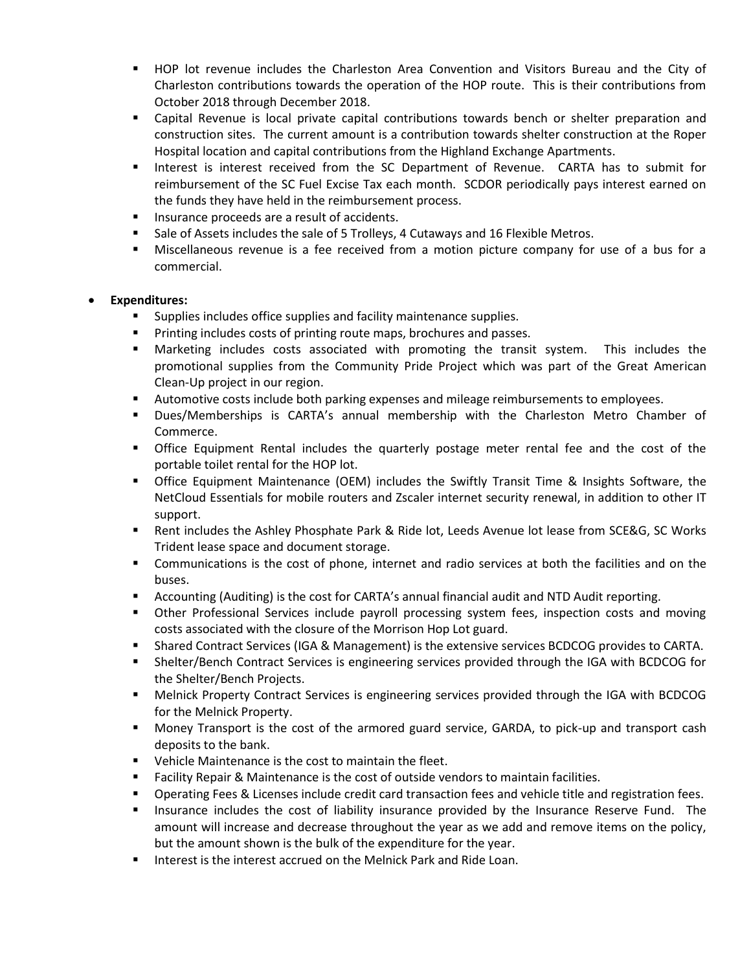- HOP lot revenue includes the Charleston Area Convention and Visitors Bureau and the City of Charleston contributions towards the operation of the HOP route. This is their contributions from October 2018 through December 2018.
- Capital Revenue is local private capital contributions towards bench or shelter preparation and construction sites. The current amount is a contribution towards shelter construction at the Roper Hospital location and capital contributions from the Highland Exchange Apartments.
- Interest is interest received from the SC Department of Revenue. CARTA has to submit for reimbursement of the SC Fuel Excise Tax each month. SCDOR periodically pays interest earned on the funds they have held in the reimbursement process.
- **Insurance proceeds are a result of accidents.**
- **Sale of Assets includes the sale of 5 Trolleys, 4 Cutaways and 16 Flexible Metros.**
- Miscellaneous revenue is a fee received from a motion picture company for use of a bus for a commercial.

#### **Expenditures:**

- Supplies includes office supplies and facility maintenance supplies.
- **Printing includes costs of printing route maps, brochures and passes.**
- Marketing includes costs associated with promoting the transit system. This includes the promotional supplies from the Community Pride Project which was part of the Great American Clean-Up project in our region.
- **Automotive costs include both parking expenses and mileage reimbursements to employees.**
- Dues/Memberships is CARTA's annual membership with the Charleston Metro Chamber of Commerce.
- Office Equipment Rental includes the quarterly postage meter rental fee and the cost of the portable toilet rental for the HOP lot.
- Office Equipment Maintenance (OEM) includes the Swiftly Transit Time & Insights Software, the NetCloud Essentials for mobile routers and Zscaler internet security renewal, in addition to other IT support.
- Rent includes the Ashley Phosphate Park & Ride lot, Leeds Avenue lot lease from SCE&G, SC Works Trident lease space and document storage.
- Communications is the cost of phone, internet and radio services at both the facilities and on the buses.
- Accounting (Auditing) is the cost for CARTA's annual financial audit and NTD Audit reporting.
- Other Professional Services include payroll processing system fees, inspection costs and moving costs associated with the closure of the Morrison Hop Lot guard.
- Shared Contract Services (IGA & Management) is the extensive services BCDCOG provides to CARTA.
- Shelter/Bench Contract Services is engineering services provided through the IGA with BCDCOG for the Shelter/Bench Projects.
- Melnick Property Contract Services is engineering services provided through the IGA with BCDCOG for the Melnick Property.
- Money Transport is the cost of the armored guard service, GARDA, to pick-up and transport cash deposits to the bank.
- **•** Vehicle Maintenance is the cost to maintain the fleet.
- Facility Repair & Maintenance is the cost of outside vendors to maintain facilities.
- Operating Fees & Licenses include credit card transaction fees and vehicle title and registration fees.
- **Insurance includes the cost of liability insurance provided by the Insurance Reserve Fund.** The amount will increase and decrease throughout the year as we add and remove items on the policy, but the amount shown is the bulk of the expenditure for the year.
- **IF Interest is the interest accrued on the Melnick Park and Ride Loan.**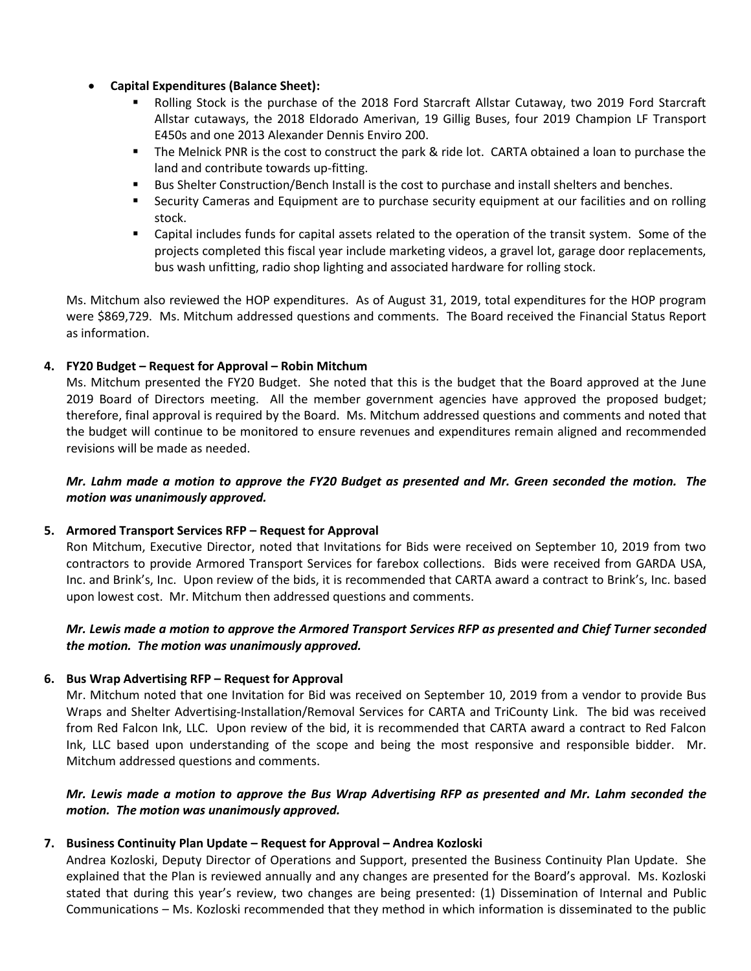- **Capital Expenditures (Balance Sheet):**
	- **Rolling Stock is the purchase of the 2018 Ford Starcraft Allstar Cutaway, two 2019 Ford Starcraft** Allstar cutaways, the 2018 Eldorado Amerivan, 19 Gillig Buses, four 2019 Champion LF Transport E450s and one 2013 Alexander Dennis Enviro 200.
	- The Melnick PNR is the cost to construct the park & ride lot. CARTA obtained a loan to purchase the land and contribute towards up-fitting.
	- Bus Shelter Construction/Bench Install is the cost to purchase and install shelters and benches.
	- **Security Cameras and Equipment are to purchase security equipment at our facilities and on rolling** stock.
	- Capital includes funds for capital assets related to the operation of the transit system. Some of the projects completed this fiscal year include marketing videos, a gravel lot, garage door replacements, bus wash unfitting, radio shop lighting and associated hardware for rolling stock.

Ms. Mitchum also reviewed the HOP expenditures. As of August 31, 2019, total expenditures for the HOP program were \$869,729. Ms. Mitchum addressed questions and comments. The Board received the Financial Status Report as information.

## **4. FY20 Budget – Request for Approval – Robin Mitchum**

Ms. Mitchum presented the FY20 Budget. She noted that this is the budget that the Board approved at the June 2019 Board of Directors meeting. All the member government agencies have approved the proposed budget; therefore, final approval is required by the Board. Ms. Mitchum addressed questions and comments and noted that the budget will continue to be monitored to ensure revenues and expenditures remain aligned and recommended revisions will be made as needed.

## *Mr. Lahm made a motion to approve the FY20 Budget as presented and Mr. Green seconded the motion. The motion was unanimously approved.*

## **5. Armored Transport Services RFP – Request for Approval**

Ron Mitchum, Executive Director, noted that Invitations for Bids were received on September 10, 2019 from two contractors to provide Armored Transport Services for farebox collections. Bids were received from GARDA USA, Inc. and Brink's, Inc. Upon review of the bids, it is recommended that CARTA award a contract to Brink's, Inc. based upon lowest cost. Mr. Mitchum then addressed questions and comments.

## *Mr. Lewis made a motion to approve the Armored Transport Services RFP as presented and Chief Turner seconded the motion. The motion was unanimously approved.*

## **6. Bus Wrap Advertising RFP – Request for Approval**

Mr. Mitchum noted that one Invitation for Bid was received on September 10, 2019 from a vendor to provide Bus Wraps and Shelter Advertising-Installation/Removal Services for CARTA and TriCounty Link. The bid was received from Red Falcon Ink, LLC. Upon review of the bid, it is recommended that CARTA award a contract to Red Falcon Ink, LLC based upon understanding of the scope and being the most responsive and responsible bidder. Mr. Mitchum addressed questions and comments.

## *Mr. Lewis made a motion to approve the Bus Wrap Advertising RFP as presented and Mr. Lahm seconded the motion. The motion was unanimously approved.*

## **7. Business Continuity Plan Update – Request for Approval – Andrea Kozloski**

Andrea Kozloski, Deputy Director of Operations and Support, presented the Business Continuity Plan Update. She explained that the Plan is reviewed annually and any changes are presented for the Board's approval. Ms. Kozloski stated that during this year's review, two changes are being presented: (1) Dissemination of Internal and Public Communications – Ms. Kozloski recommended that they method in which information is disseminated to the public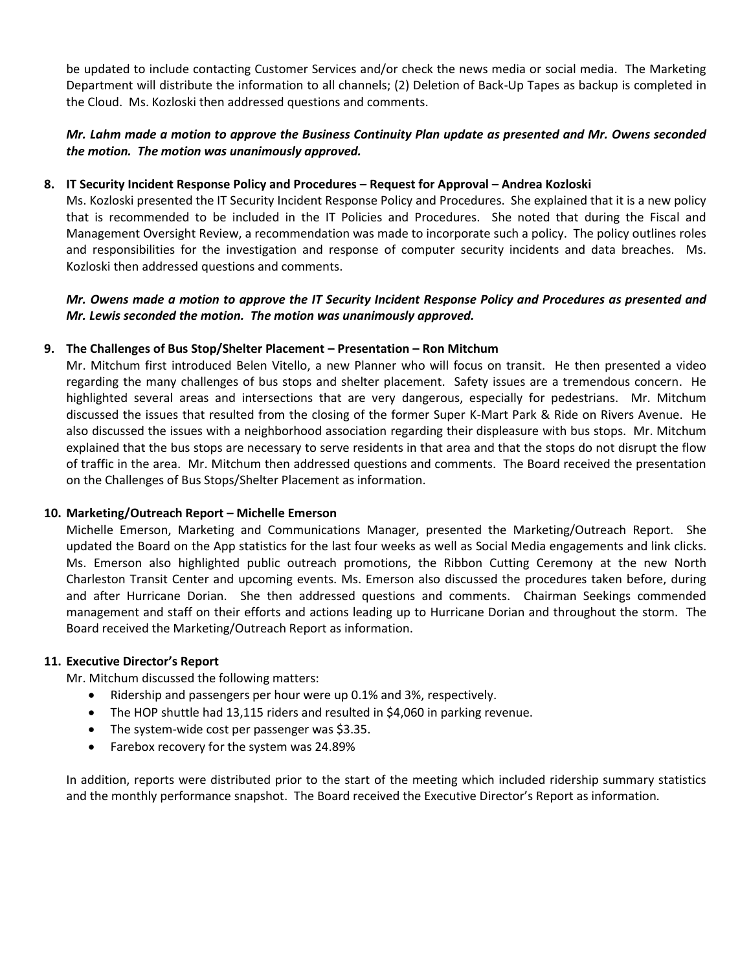be updated to include contacting Customer Services and/or check the news media or social media. The Marketing Department will distribute the information to all channels; (2) Deletion of Back-Up Tapes as backup is completed in the Cloud. Ms. Kozloski then addressed questions and comments.

## *Mr. Lahm made a motion to approve the Business Continuity Plan update as presented and Mr. Owens seconded the motion. The motion was unanimously approved.*

#### **8. IT Security Incident Response Policy and Procedures – Request for Approval – Andrea Kozloski**

Ms. Kozloski presented the IT Security Incident Response Policy and Procedures. She explained that it is a new policy that is recommended to be included in the IT Policies and Procedures. She noted that during the Fiscal and Management Oversight Review, a recommendation was made to incorporate such a policy. The policy outlines roles and responsibilities for the investigation and response of computer security incidents and data breaches. Ms. Kozloski then addressed questions and comments.

#### *Mr. Owens made a motion to approve the IT Security Incident Response Policy and Procedures as presented and Mr. Lewis seconded the motion. The motion was unanimously approved.*

#### **9. The Challenges of Bus Stop/Shelter Placement – Presentation – Ron Mitchum**

Mr. Mitchum first introduced Belen Vitello, a new Planner who will focus on transit. He then presented a video regarding the many challenges of bus stops and shelter placement. Safety issues are a tremendous concern. He highlighted several areas and intersections that are very dangerous, especially for pedestrians. Mr. Mitchum discussed the issues that resulted from the closing of the former Super K-Mart Park & Ride on Rivers Avenue. He also discussed the issues with a neighborhood association regarding their displeasure with bus stops. Mr. Mitchum explained that the bus stops are necessary to serve residents in that area and that the stops do not disrupt the flow of traffic in the area. Mr. Mitchum then addressed questions and comments. The Board received the presentation on the Challenges of Bus Stops/Shelter Placement as information.

#### **10. Marketing/Outreach Report – Michelle Emerson**

Michelle Emerson, Marketing and Communications Manager, presented the Marketing/Outreach Report. She updated the Board on the App statistics for the last four weeks as well as Social Media engagements and link clicks. Ms. Emerson also highlighted public outreach promotions, the Ribbon Cutting Ceremony at the new North Charleston Transit Center and upcoming events. Ms. Emerson also discussed the procedures taken before, during and after Hurricane Dorian. She then addressed questions and comments. Chairman Seekings commended management and staff on their efforts and actions leading up to Hurricane Dorian and throughout the storm. The Board received the Marketing/Outreach Report as information.

#### **11. Executive Director's Report**

Mr. Mitchum discussed the following matters:

- Ridership and passengers per hour were up 0.1% and 3%, respectively.
- The HOP shuttle had 13,115 riders and resulted in \$4,060 in parking revenue.
- The system-wide cost per passenger was \$3.35.
- Farebox recovery for the system was 24.89%

In addition, reports were distributed prior to the start of the meeting which included ridership summary statistics and the monthly performance snapshot. The Board received the Executive Director's Report as information.